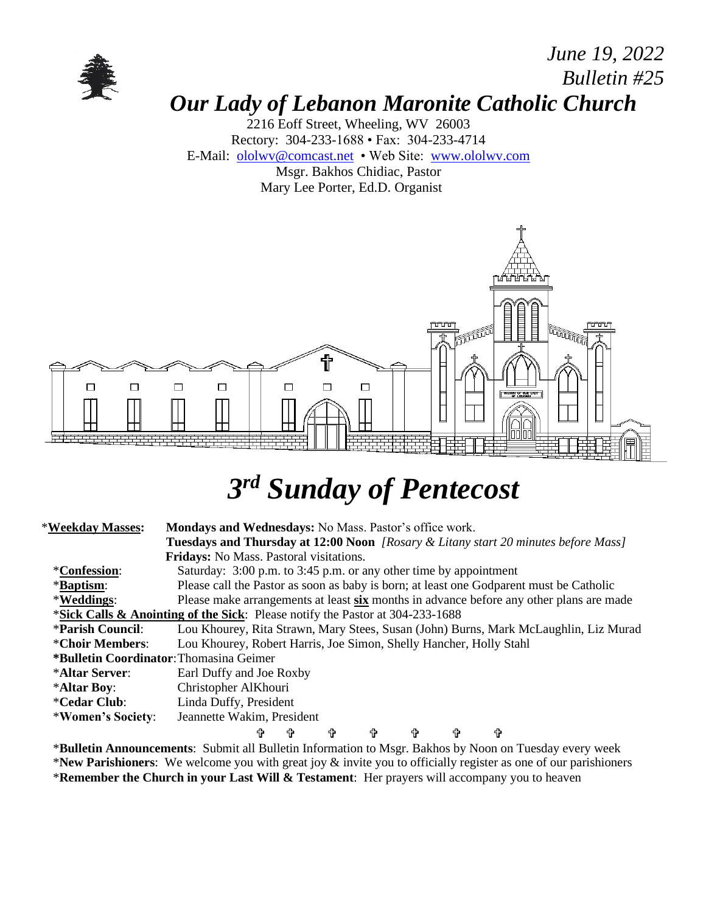

#### *June 19, 2022 Bulletin #25 Our Lady of Lebanon Maronite Catholic Church*

2216 Eoff Street, Wheeling, WV 26003 Rectory: 304-233-1688 • Fax: 304-233-4714 E-Mail: [ololwv@comcast.net](mailto:ololwv@comcast.net) • Web Site: [www.ololwv.com](http://www.ololwv.com/) Msgr. Bakhos Chidiac, Pastor Mary Lee Porter, Ed.D. Organist



# *3 rd Sunday of Pentecost*

| *Weekday Masses:                                | Mondays and Wednesdays: No Mass. Pastor's office work.                                    |  |
|-------------------------------------------------|-------------------------------------------------------------------------------------------|--|
|                                                 | <b>Tuesdays and Thursday at 12:00 Noon</b> [Rosary & Litany start 20 minutes before Mass] |  |
|                                                 | Fridays: No Mass. Pastoral visitations.                                                   |  |
| <i>*Confession:</i>                             | Saturday: 3:00 p.m. to 3:45 p.m. or any other time by appointment                         |  |
| <i><b>*Baptism:</b></i>                         | Please call the Pastor as soon as baby is born; at least one Godparent must be Catholic   |  |
| *Weddings:                                      | Please make arrangements at least six months in advance before any other plans are made   |  |
|                                                 | *Sick Calls & Anointing of the Sick: Please notify the Pastor at 304-233-1688             |  |
| <b>*Parish Council:</b>                         | Lou Khourey, Rita Strawn, Mary Stees, Susan (John) Burns, Mark McLaughlin, Liz Murad      |  |
| *Choir Members:                                 | Lou Khourey, Robert Harris, Joe Simon, Shelly Hancher, Holly Stahl                        |  |
| * <b>Bulletin Coordinator:</b> Thomasina Geimer |                                                                                           |  |
| *Altar Server:                                  | Earl Duffy and Joe Roxby                                                                  |  |
| *Altar Boy:                                     | Christopher AlKhouri                                                                      |  |
| <i><b>*Cedar Club:</b></i>                      | Linda Duffy, President                                                                    |  |
| *Women's Society:                               | Jeannette Wakim, President                                                                |  |
|                                                 | ⇧<br>╬<br>令<br>╬<br>Ϋ<br>4<br>令                                                           |  |

\***Bulletin Announcements**: Submit all Bulletin Information to Msgr. Bakhos by Noon on Tuesday every week \***New Parishioners**: We welcome you with great joy & invite you to officially register as one of our parishioners \***Remember the Church in your Last Will & Testament**: Her prayers will accompany you to heaven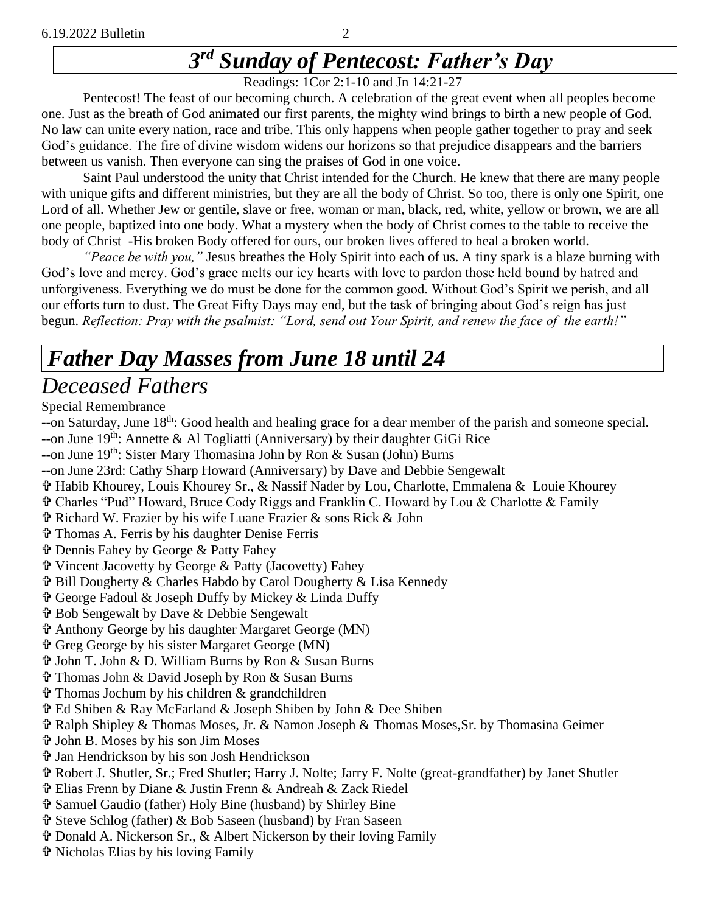## *3 rd Sunday of Pentecost: Father's Day*

Readings: 1Cor 2:1-10 and Jn 14:21-27

Pentecost! The feast of our becoming church. A celebration of the great event when all peoples become one. Just as the breath of God animated our first parents, the mighty wind brings to birth a new people of God. No law can unite every nation, race and tribe. This only happens when people gather together to pray and seek God's guidance. The fire of divine wisdom widens our horizons so that prejudice disappears and the barriers between us vanish. Then everyone can sing the praises of God in one voice.

Saint Paul understood the unity that Christ intended for the Church. He knew that there are many people with unique gifts and different ministries, but they are all the body of Christ. So too, there is only one Spirit, one Lord of all. Whether Jew or gentile, slave or free, woman or man, black, red, white, yellow or brown, we are all one people, baptized into one body. What a mystery when the body of Christ comes to the table to receive the body of Christ -His broken Body offered for ours, our broken lives offered to heal a broken world.

*"Peace be with you,"* Jesus breathes the Holy Spirit into each of us. A tiny spark is a blaze burning with God's love and mercy. God's grace melts our icy hearts with love to pardon those held bound by hatred and unforgiveness. Everything we do must be done for the common good. Without God's Spirit we perish, and all our efforts turn to dust. The Great Fifty Days may end, but the task of bringing about God's reign has just begun. *Reflection: Pray with the psalmist: "Lord, send out Your Spirit, and renew the face of the earth!"*

#### *Father Day Masses from June 18 until 24 Deceased Fathers*

#### Special Remembrance

- --on Saturday, June 18<sup>th</sup>: Good health and healing grace for a dear member of the parish and someone special. --on June  $19^{th}$ : Annette & Al Togliatti (Anniversary) by their daughter GiGi Rice
- --on June 19<sup>th</sup>: Sister Mary Thomasina John by Ron & Susan (John) Burns
- --on June 23rd: Cathy Sharp Howard (Anniversary) by Dave and Debbie Sengewalt
- Habib Khourey, Louis Khourey Sr., & Nassif Nader by Lou, Charlotte, Emmalena & Louie Khourey
- Charles "Pud" Howard, Bruce Cody Riggs and Franklin C. Howard by Lou & Charlotte & Family
- Richard W. Frazier by his wife Luane Frazier & sons Rick & John
- Thomas A. Ferris by his daughter Denise Ferris
- Dennis Fahey by George & Patty Fahey
- Vincent Jacovetty by George & Patty (Jacovetty) Fahey
- Bill Dougherty & Charles Habdo by Carol Dougherty & Lisa Kennedy
- George Fadoul & Joseph Duffy by Mickey & Linda Duffy
- Bob Sengewalt by Dave & Debbie Sengewalt
- Anthony George by his daughter Margaret George (MN)
- Greg George by his sister Margaret George (MN)
- John T. John & D. William Burns by Ron & Susan Burns
- Thomas John & David Joseph by Ron & Susan Burns
- Thomas Jochum by his children & grandchildren
- Ed Shiben & Ray McFarland & Joseph Shiben by John & Dee Shiben
- Ralph Shipley & Thomas Moses, Jr. & Namon Joseph & Thomas Moses,Sr. by Thomasina Geimer
- John B. Moses by his son Jim Moses
- Jan Hendrickson by his son Josh Hendrickson
- Robert J. Shutler, Sr.; Fred Shutler; Harry J. Nolte; Jarry F. Nolte (great-grandfather) by Janet Shutler
- Elias Frenn by Diane & Justin Frenn & Andreah & Zack Riedel
- Samuel Gaudio (father) Holy Bine (husband) by Shirley Bine
- Steve Schlog (father) & Bob Saseen (husband) by Fran Saseen
- Donald A. Nickerson Sr., & Albert Nickerson by their loving Family
- Nicholas Elias by his loving Family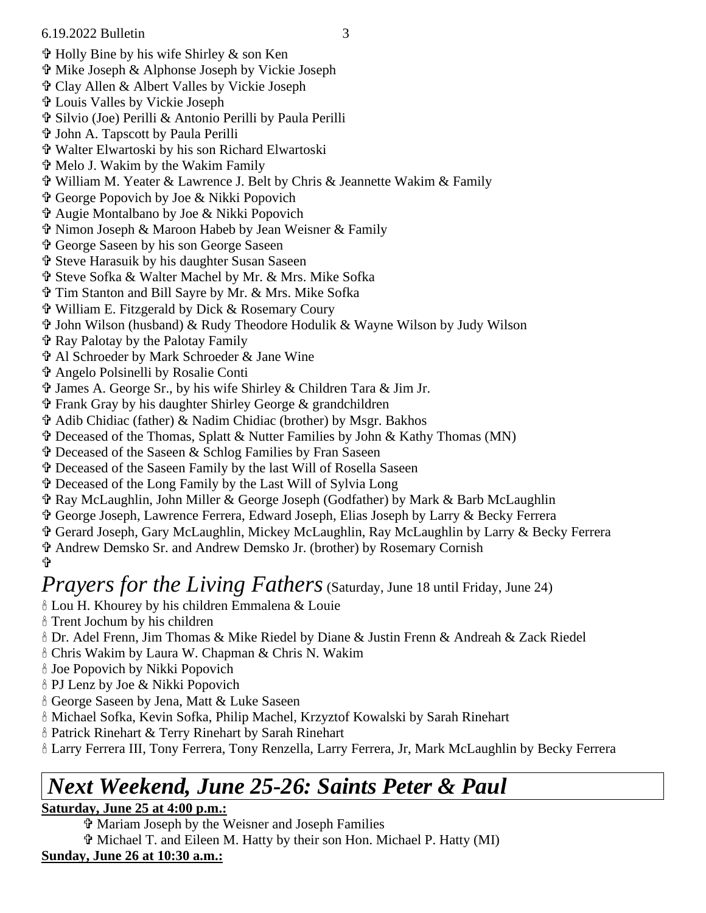#### 6.19.2022 Bulletin 3

- Holly Bine by his wife Shirley & son Ken
- Mike Joseph & Alphonse Joseph by Vickie Joseph
- Clay Allen & Albert Valles by Vickie Joseph
- Louis Valles by Vickie Joseph
- Silvio (Joe) Perilli & Antonio Perilli by Paula Perilli
- John A. Tapscott by Paula Perilli
- Walter Elwartoski by his son Richard Elwartoski
- Melo J. Wakim by the Wakim Family
- William M. Yeater & Lawrence J. Belt by Chris & Jeannette Wakim & Family
- George Popovich by Joe & Nikki Popovich
- Augie Montalbano by Joe & Nikki Popovich
- Nimon Joseph & Maroon Habeb by Jean Weisner & Family
- George Saseen by his son George Saseen
- Steve Harasuik by his daughter Susan Saseen
- Steve Sofka & Walter Machel by Mr. & Mrs. Mike Sofka
- Tim Stanton and Bill Sayre by Mr. & Mrs. Mike Sofka
- William E. Fitzgerald by Dick & Rosemary Coury
- John Wilson (husband) & Rudy Theodore Hodulik & Wayne Wilson by Judy Wilson
- Ray Palotay by the Palotay Family
- Al Schroeder by Mark Schroeder & Jane Wine
- Angelo Polsinelli by Rosalie Conti
- $\hat{\mathbf{\Phi}}$  James A. George Sr., by his wife Shirley & Children Tara & Jim Jr.
- Frank Gray by his daughter Shirley George & grandchildren
- Adib Chidiac (father) & Nadim Chidiac (brother) by Msgr. Bakhos
- Deceased of the Thomas, Splatt & Nutter Families by John & Kathy Thomas (MN)
- Deceased of the Saseen & Schlog Families by Fran Saseen
- Deceased of the Saseen Family by the last Will of Rosella Saseen
- Deceased of the Long Family by the Last Will of Sylvia Long
- Ray McLaughlin, John Miller & George Joseph (Godfather) by Mark & Barb McLaughlin
- George Joseph, Lawrence Ferrera, Edward Joseph, Elias Joseph by Larry & Becky Ferrera
- Gerard Joseph, Gary McLaughlin, Mickey McLaughlin, Ray McLaughlin by Larry & Becky Ferrera
- Andrew Demsko Sr. and Andrew Demsko Jr. (brother) by Rosemary Cornish ╬

#### *Prayers for the Living Fathers* (Saturday, June 18 until Friday, June 24)

- Lou H. Khourey by his children Emmalena & Louie
- Trent Jochum by his children
- Dr. Adel Frenn, Jim Thomas & Mike Riedel by Diane & Justin Frenn & Andreah & Zack Riedel
- Chris Wakim by Laura W. Chapman & Chris N. Wakim
- Joe Popovich by Nikki Popovich
- PJ Lenz by Joe & Nikki Popovich
- George Saseen by Jena, Matt & Luke Saseen
- Michael Sofka, Kevin Sofka, Philip Machel, Krzyztof Kowalski by Sarah Rinehart
- Patrick Rinehart & Terry Rinehart by Sarah Rinehart
- Larry Ferrera III, Tony Ferrera, Tony Renzella, Larry Ferrera, Jr, Mark McLaughlin by Becky Ferrera

# *Next Weekend, June 25-26: Saints Peter & Paul*

#### **Saturday, June 25 at 4:00 p.m.:**

Mariam Joseph by the Weisner and Joseph Families

 Michael T. and Eileen M. Hatty by their son Hon. Michael P. Hatty (MI) **Sunday, June 26 at 10:30 a.m.:**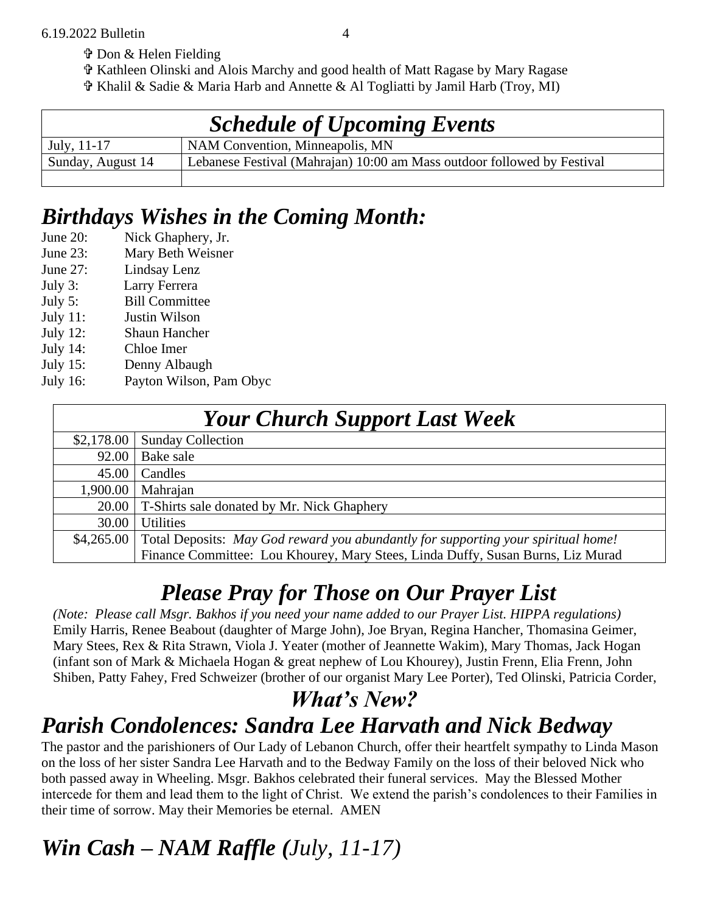- Don & Helen Fielding
- Kathleen Olinski and Alois Marchy and good health of Matt Ragase by Mary Ragase
- Khalil & Sadie & Maria Harb and Annette & Al Togliatti by Jamil Harb (Troy, MI)

| <b>Schedule of Upcoming Events</b> |                                                                         |  |
|------------------------------------|-------------------------------------------------------------------------|--|
| $July, 11-17$                      | NAM Convention, Minneapolis, MN                                         |  |
| Sunday, August 14                  | Lebanese Festival (Mahrajan) 10:00 am Mass outdoor followed by Festival |  |
|                                    |                                                                         |  |

#### *Birthdays Wishes in the Coming Month:*

- June 20: Nick Ghaphery, Jr. June 23: Mary Beth Weisner June 27: Lindsay Lenz July 3: Larry Ferrera July 5: Bill Committee July 11: Justin Wilson July 12: Shaun Hancher
- July 14: Chloe Imer
- July 15: Denny Albaugh
- July 16: Payton Wilson, Pam Obyc

| <b>Your Church Support Last Week</b> |                                                                                   |  |
|--------------------------------------|-----------------------------------------------------------------------------------|--|
| \$2,178.00                           | <b>Sunday Collection</b>                                                          |  |
| 92.00                                | Bake sale                                                                         |  |
| 45.00                                | Candles                                                                           |  |
| 1,900.00                             | Mahrajan                                                                          |  |
| 20.00                                | T-Shirts sale donated by Mr. Nick Ghaphery                                        |  |
| 30.00                                | <b>Utilities</b>                                                                  |  |
| \$4,265.00                           | Total Deposits: May God reward you abundantly for supporting your spiritual home! |  |
|                                      | Finance Committee: Lou Khourey, Mary Stees, Linda Duffy, Susan Burns, Liz Murad   |  |

#### *Please Pray for Those on Our Prayer List*

*(Note: Please call Msgr. Bakhos if you need your name added to our Prayer List. HIPPA regulations)* Emily Harris, Renee Beabout (daughter of Marge John), Joe Bryan, Regina Hancher, Thomasina Geimer, Mary Stees, Rex & Rita Strawn, Viola J. Yeater (mother of Jeannette Wakim), Mary Thomas, Jack Hogan (infant son of Mark & Michaela Hogan & great nephew of Lou Khourey), Justin Frenn, Elia Frenn, John Shiben, Patty Fahey, Fred Schweizer (brother of our organist Mary Lee Porter), Ted Olinski, Patricia Corder,

#### *What's New? Parish Condolences: Sandra Lee Harvath and Nick Bedway*

The pastor and the parishioners of Our Lady of Lebanon Church, offer their heartfelt sympathy to Linda Mason on the loss of her sister Sandra Lee Harvath and to the Bedway Family on the loss of their beloved Nick who both passed away in Wheeling. Msgr. Bakhos celebrated their funeral services. May the Blessed Mother intercede for them and lead them to the light of Christ. We extend the parish's condolences to their Families in their time of sorrow. May their Memories be eternal. AMEN

## *Win Cash – NAM Raffle (July, 11-17)*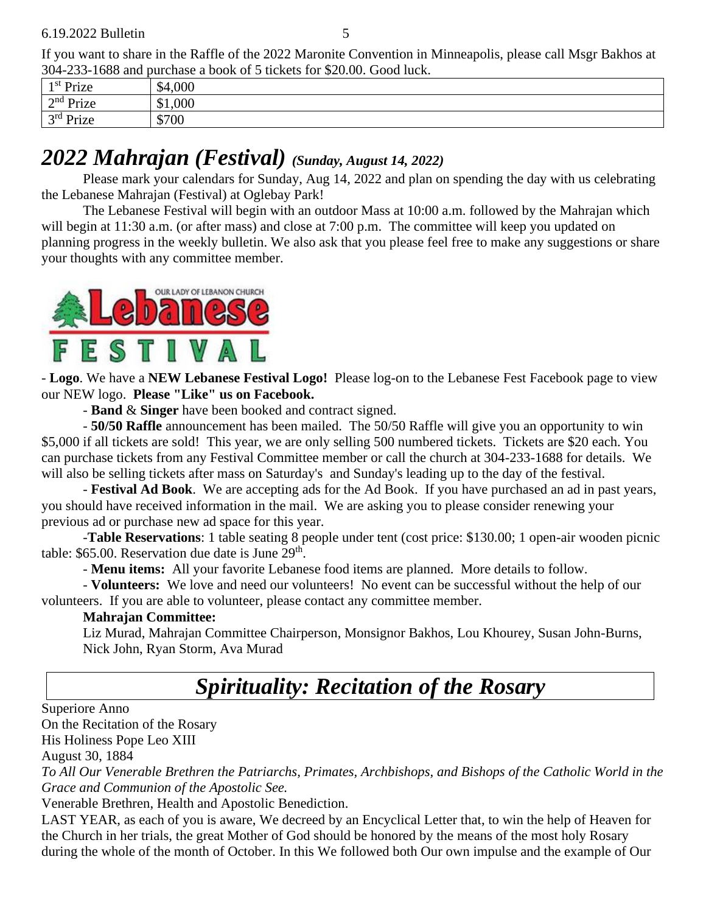If you want to share in the Raffle of the 2022 Maronite Convention in Minneapolis, please call Msgr Bakhos at 304-233-1688 and purchase a book of 5 tickets for \$20.00. Good luck.

|                            | $100 + 233 - 1000$ and purchase a book of 3 tieners for \$20.00. Obou flien. |  |
|----------------------------|------------------------------------------------------------------------------|--|
| 1 <sup>st</sup> Prize      | \$4,000                                                                      |  |
| $\gamma^{\text{nd}}$ Prize | \$1,000                                                                      |  |
| $3rd$ Prize                | \$700                                                                        |  |
|                            |                                                                              |  |

#### *2022 Mahrajan (Festival) (Sunday, August 14, 2022)*

Please mark your calendars for Sunday, Aug 14, 2022 and plan on spending the day with us celebrating the Lebanese Mahrajan (Festival) at Oglebay Park!

The Lebanese Festival will begin with an outdoor Mass at 10:00 a.m. followed by the Mahrajan which will begin at 11:30 a.m. (or after mass) and close at 7:00 p.m. The committee will keep you updated on planning progress in the weekly bulletin. We also ask that you please feel free to make any suggestions or share your thoughts with any committee member.



- **Logo**. We have a **NEW Lebanese Festival Logo!** Please log-on to the Lebanese Fest Facebook page to view our NEW logo. **Please "Like" us on Facebook.**

- **Band** & **Singer** have been booked and contract signed.

- **50/50 Raffle** announcement has been mailed. The 50/50 Raffle will give you an opportunity to win \$5,000 if all tickets are sold! This year, we are only selling 500 numbered tickets. Tickets are \$20 each. You can purchase tickets from any Festival Committee member or call the church at 304-233-1688 for details. We will also be selling tickets after mass on Saturday's and Sunday's leading up to the day of the festival.

- **Festival Ad Book**. We are accepting ads for the Ad Book. If you have purchased an ad in past years, you should have received information in the mail. We are asking you to please consider renewing your previous ad or purchase new ad space for this year.

-**Table Reservations**: 1 table seating 8 people under tent (cost price: \$130.00; 1 open-air wooden picnic table:  $$65.00$ . Reservation due date is June  $29<sup>th</sup>$ .

- **Menu items:** All your favorite Lebanese food items are planned. More details to follow.

- **Volunteers:** We love and need our volunteers! No event can be successful without the help of our volunteers. If you are able to volunteer, please contact any committee member.

#### **Mahrajan Committee:**

Liz Murad, Mahrajan Committee Chairperson, Monsignor Bakhos, Lou Khourey, Susan John-Burns, Nick John, Ryan Storm, Ava Murad

## *Spirituality: Recitation of the Rosary*

Superiore Anno

On the Recitation of the Rosary

His Holiness Pope Leo XIII

August 30, 1884

*To All Our Venerable Brethren the Patriarchs, Primates, Archbishops, and Bishops of the Catholic World in the Grace and Communion of the Apostolic See.*

Venerable Brethren, Health and Apostolic Benediction.

LAST YEAR, as each of you is aware, We decreed by an Encyclical Letter that, to win the help of Heaven for the Church in her trials, the great Mother of God should be honored by the means of the most holy Rosary during the whole of the month of October. In this We followed both Our own impulse and the example of Our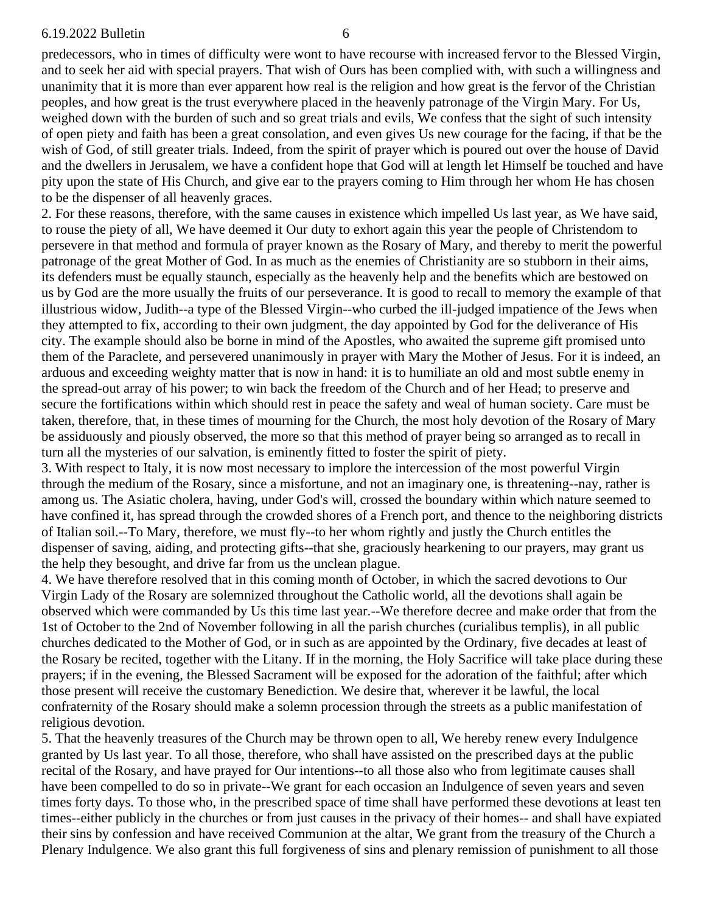predecessors, who in times of difficulty were wont to have recourse with increased fervor to the Blessed Virgin, and to seek her aid with special prayers. That wish of Ours has been complied with, with such a willingness and unanimity that it is more than ever apparent how real is the religion and how great is the fervor of the Christian peoples, and how great is the trust everywhere placed in the heavenly patronage of the Virgin Mary. For Us, weighed down with the burden of such and so great trials and evils, We confess that the sight of such intensity of open piety and faith has been a great consolation, and even gives Us new courage for the facing, if that be the wish of God, of still greater trials. Indeed, from the spirit of prayer which is poured out over the house of David and the dwellers in Jerusalem, we have a confident hope that God will at length let Himself be touched and have pity upon the state of His Church, and give ear to the prayers coming to Him through her whom He has chosen to be the dispenser of all heavenly graces.

2. For these reasons, therefore, with the same causes in existence which impelled Us last year, as We have said, to rouse the piety of all, We have deemed it Our duty to exhort again this year the people of Christendom to persevere in that method and formula of prayer known as the Rosary of Mary, and thereby to merit the powerful patronage of the great Mother of God. In as much as the enemies of Christianity are so stubborn in their aims, its defenders must be equally staunch, especially as the heavenly help and the benefits which are bestowed on us by God are the more usually the fruits of our perseverance. It is good to recall to memory the example of that illustrious widow, Judith--a type of the Blessed Virgin--who curbed the ill-judged impatience of the Jews when they attempted to fix, according to their own judgment, the day appointed by God for the deliverance of His city. The example should also be borne in mind of the Apostles, who awaited the supreme gift promised unto them of the Paraclete, and persevered unanimously in prayer with Mary the Mother of Jesus. For it is indeed, an arduous and exceeding weighty matter that is now in hand: it is to humiliate an old and most subtle enemy in the spread-out array of his power; to win back the freedom of the Church and of her Head; to preserve and secure the fortifications within which should rest in peace the safety and weal of human society. Care must be taken, therefore, that, in these times of mourning for the Church, the most holy devotion of the Rosary of Mary be assiduously and piously observed, the more so that this method of prayer being so arranged as to recall in turn all the mysteries of our salvation, is eminently fitted to foster the spirit of piety.

3. With respect to Italy, it is now most necessary to implore the intercession of the most powerful Virgin through the medium of the Rosary, since a misfortune, and not an imaginary one, is threatening--nay, rather is among us. The Asiatic cholera, having, under God's will, crossed the boundary within which nature seemed to have confined it, has spread through the crowded shores of a French port, and thence to the neighboring districts of Italian soil.--To Mary, therefore, we must fly--to her whom rightly and justly the Church entitles the dispenser of saving, aiding, and protecting gifts--that she, graciously hearkening to our prayers, may grant us the help they besought, and drive far from us the unclean plague.

4. We have therefore resolved that in this coming month of October, in which the sacred devotions to Our Virgin Lady of the Rosary are solemnized throughout the Catholic world, all the devotions shall again be observed which were commanded by Us this time last year.--We therefore decree and make order that from the 1st of October to the 2nd of November following in all the parish churches (curialibus templis), in all public churches dedicated to the Mother of God, or in such as are appointed by the Ordinary, five decades at least of the Rosary be recited, together with the Litany. If in the morning, the Holy Sacrifice will take place during these prayers; if in the evening, the Blessed Sacrament will be exposed for the adoration of the faithful; after which those present will receive the customary Benediction. We desire that, wherever it be lawful, the local confraternity of the Rosary should make a solemn procession through the streets as a public manifestation of religious devotion.

5. That the heavenly treasures of the Church may be thrown open to all, We hereby renew every Indulgence granted by Us last year. To all those, therefore, who shall have assisted on the prescribed days at the public recital of the Rosary, and have prayed for Our intentions--to all those also who from legitimate causes shall have been compelled to do so in private--We grant for each occasion an Indulgence of seven years and seven times forty days. To those who, in the prescribed space of time shall have performed these devotions at least ten times--either publicly in the churches or from just causes in the privacy of their homes-- and shall have expiated their sins by confession and have received Communion at the altar, We grant from the treasury of the Church a Plenary Indulgence. We also grant this full forgiveness of sins and plenary remission of punishment to all those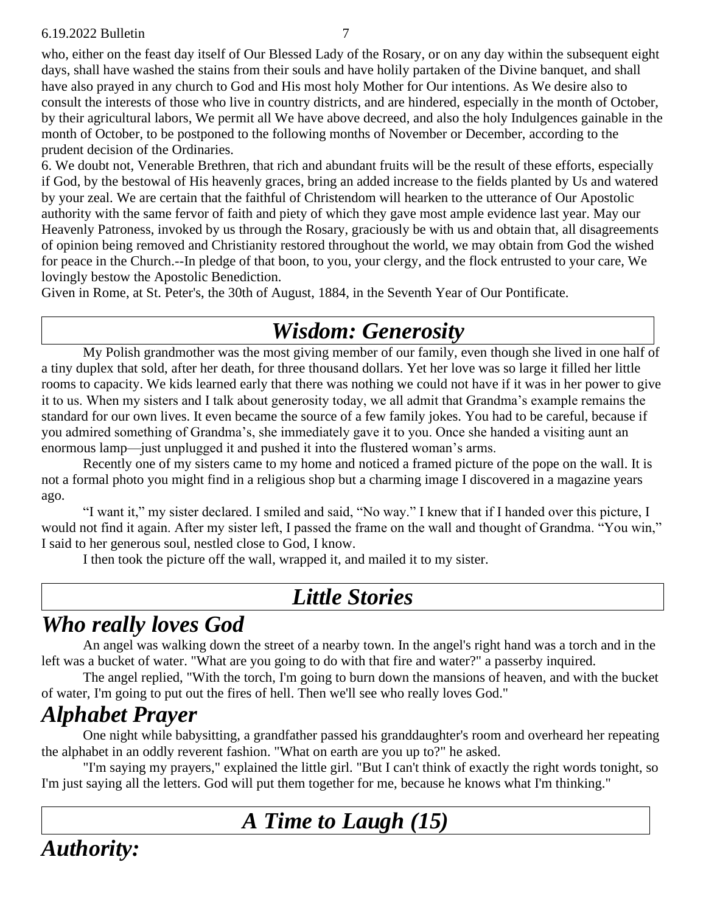who, either on the feast day itself of Our Blessed Lady of the Rosary, or on any day within the subsequent eight days, shall have washed the stains from their souls and have holily partaken of the Divine banquet, and shall have also prayed in any church to God and His most holy Mother for Our intentions. As We desire also to consult the interests of those who live in country districts, and are hindered, especially in the month of October, by their agricultural labors, We permit all We have above decreed, and also the holy Indulgences gainable in the month of October, to be postponed to the following months of November or December, according to the prudent decision of the Ordinaries.

6. We doubt not, Venerable Brethren, that rich and abundant fruits will be the result of these efforts, especially if God, by the bestowal of His heavenly graces, bring an added increase to the fields planted by Us and watered by your zeal. We are certain that the faithful of Christendom will hearken to the utterance of Our Apostolic authority with the same fervor of faith and piety of which they gave most ample evidence last year. May our Heavenly Patroness, invoked by us through the Rosary, graciously be with us and obtain that, all disagreements of opinion being removed and Christianity restored throughout the world, we may obtain from God the wished for peace in the Church.--In pledge of that boon, to you, your clergy, and the flock entrusted to your care, We lovingly bestow the Apostolic Benediction.

Given in Rome, at St. Peter's, the 30th of August, 1884, in the Seventh Year of Our Pontificate.

#### *Wisdom: Generosity*

My Polish grandmother was the most giving member of our family, even though she lived in one half of a tiny duplex that sold, after her death, for three thousand dollars. Yet her love was so large it filled her little rooms to capacity. We kids learned early that there was nothing we could not have if it was in her power to give it to us. When my sisters and I talk about generosity today, we all admit that Grandma's example remains the standard for our own lives. It even became the source of a few family jokes. You had to be careful, because if you admired something of Grandma's, she immediately gave it to you. Once she handed a visiting aunt an enormous lamp—just unplugged it and pushed it into the flustered woman's arms.

Recently one of my sisters came to my home and noticed a framed picture of the pope on the wall. It is not a formal photo you might find in a religious shop but a charming image I discovered in a magazine years ago.

"I want it," my sister declared. I smiled and said, "No way." I knew that if I handed over this picture, I would not find it again. After my sister left, I passed the frame on the wall and thought of Grandma. "You win," I said to her generous soul, nestled close to God, I know.

I then took the picture off the wall, wrapped it, and mailed it to my sister.

#### *Little Stories*

### *Who really loves God*

An angel was walking down the street of a nearby town. In the angel's right hand was a torch and in the left was a bucket of water. "What are you going to do with that fire and water?" a passerby inquired.

The angel replied, "With the torch, I'm going to burn down the mansions of heaven, and with the bucket of water, I'm going to put out the fires of hell. Then we'll see who really loves God."

### *Alphabet Prayer*

One night while babysitting, a grandfather passed his granddaughter's room and overheard her repeating the alphabet in an oddly reverent fashion. "What on earth are you up to?" he asked.

"I'm saying my prayers," explained the little girl. "But I can't think of exactly the right words tonight, so I'm just saying all the letters. God will put them together for me, because he knows what I'm thinking."

#### *A Time to Laugh (15)*

*Authority:*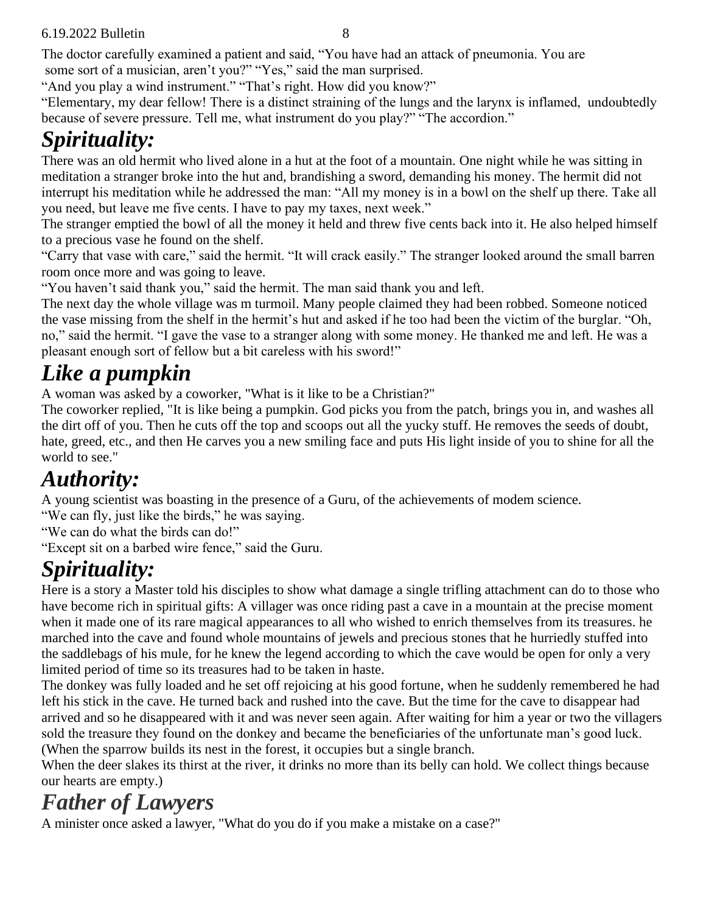#### 6.19.2022 Bulletin 8

The doctor carefully examined a patient and said, "You have had an attack of pneumonia. You are some sort of a musician, aren't you?" "Yes," said the man surprised.

"And you play a wind instrument." "That's right. How did you know?"

"Elementary, my dear fellow! There is a distinct straining of the lungs and the larynx is inflamed, undoubtedly because of severe pressure. Tell me, what instrument do you play?" "The accordion."

## *Spirituality:*

There was an old hermit who lived alone in a hut at the foot of a mountain. One night while he was sitting in meditation a stranger broke into the hut and, brandishing a sword, demanding his money. The hermit did not interrupt his meditation while he addressed the man: "All my money is in a bowl on the shelf up there. Take all you need, but leave me five cents. I have to pay my taxes, next week."

The stranger emptied the bowl of all the money it held and threw five cents back into it. He also helped himself to a precious vase he found on the shelf.

"Carry that vase with care," said the hermit. "It will crack easily." The stranger looked around the small barren room once more and was going to leave.

"You haven't said thank you," said the hermit. The man said thank you and left.

The next day the whole village was m turmoil. Many people claimed they had been robbed. Someone noticed the vase missing from the shelf in the hermit's hut and asked if he too had been the victim of the burglar. "Oh, no," said the hermit. "I gave the vase to a stranger along with some money. He thanked me and left. He was a pleasant enough sort of fellow but a bit careless with his sword!"

## *Like a pumpkin*

A woman was asked by a coworker, "What is it like to be a Christian?"

The coworker replied, "It is like being a pumpkin. God picks you from the patch, brings you in, and washes all the dirt off of you. Then he cuts off the top and scoops out all the yucky stuff. He removes the seeds of doubt, hate, greed, etc., and then He carves you a new smiling face and puts His light inside of you to shine for all the world to see."

## *Authority:*

A young scientist was boasting in the presence of a Guru, of the achievements of modem science.

"We can fly, just like the birds," he was saying.

"We can do what the birds can do!"

"Except sit on a barbed wire fence," said the Guru.

## *Spirituality:*

Here is a story a Master told his disciples to show what damage a single trifling attachment can do to those who have become rich in spiritual gifts: A villager was once riding past a cave in a mountain at the precise moment when it made one of its rare magical appearances to all who wished to enrich themselves from its treasures. he marched into the cave and found whole mountains of jewels and precious stones that he hurriedly stuffed into the saddlebags of his mule, for he knew the legend according to which the cave would be open for only a very limited period of time so its treasures had to be taken in haste.

The donkey was fully loaded and he set off rejoicing at his good fortune, when he suddenly remembered he had left his stick in the cave. He turned back and rushed into the cave. But the time for the cave to disappear had arrived and so he disappeared with it and was never seen again. After waiting for him a year or two the villagers sold the treasure they found on the donkey and became the beneficiaries of the unfortunate man's good luck. (When the sparrow builds its nest in the forest, it occupies but a single branch.

When the deer slakes its thirst at the river, it drinks no more than its belly can hold. We collect things because our hearts are empty.)

## *Father of Lawyers*

A minister once asked a lawyer, "What do you do if you make a mistake on a case?"